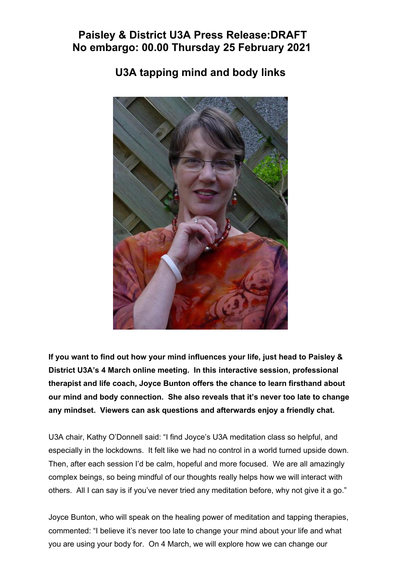## **Paisley & District U3A Press Release:DRAFT No embargo: 00.00 Thursday 25 February 2021**

## **U3A tapping mind and body links**



**If you want to find out how your mind influences your life, just head to Paisley & District U3A's 4 March online meeting. In this interactive session, professional therapist and life coach, Joyce Bunton offers the chance to learn firsthand about our mind and body connection. She also reveals that it's never too late to change any mindset. Viewers can ask questions and afterwards enjoy a friendly chat.** 

U3A chair, Kathy O'Donnell said: "I find Joyce's U3A meditation class so helpful, and especially in the lockdowns. It felt like we had no control in a world turned upside down. Then, after each session I'd be calm, hopeful and more focused. We are all amazingly complex beings, so being mindful of our thoughts really helps how we will interact with others. All I can say is if you've never tried any meditation before, why not give it a go."

Joyce Bunton, who will speak on the healing power of meditation and tapping therapies, commented: "I believe it's never too late to change your mind about your life and what you are using your body for. On 4 March, we will explore how we can change our